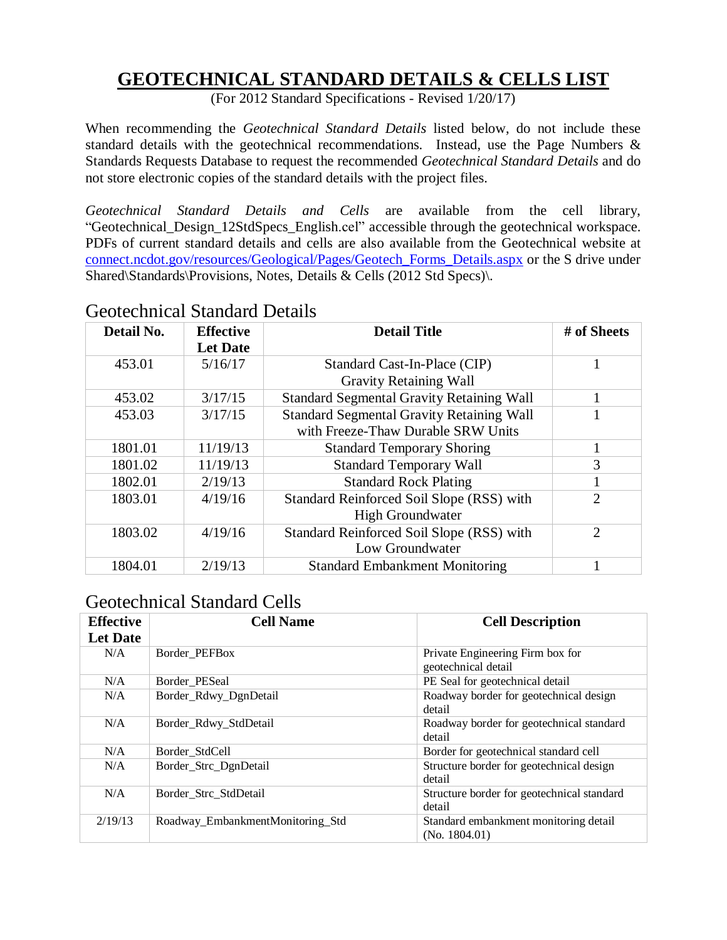### **GEOTECHNICAL STANDARD DETAILS & CELLS LIST**

(For 2012 Standard Specifications - Revised 1/20/17)

When recommending the *Geotechnical Standard Details* listed below, do not include these standard details with the geotechnical recommendations. Instead, use the Page Numbers & Standards Requests Database to request the recommended *Geotechnical Standard Details* and do not store electronic copies of the standard details with the project files.

*Geotechnical Standard Details and Cells* are available from the cell library, "Geotechnical\_Design\_12StdSpecs\_English.cel" accessible through the geotechnical workspace. PDFs of current standard details and cells are also available from the Geotechnical website at [connect.ncdot.gov/resources/Geological/Pages/Geotech\\_Forms\\_Details.aspx](https://connect.ncdot.gov/resources/Geological/Pages/Geotech_Forms_Details.aspx) or the S drive under Shared\Standards\Provisions, Notes, Details & Cells (2012 Std Specs)\.

| Detail No.<br><b>Effective</b> |                 | <b>Detail Title</b>                              | # of Sheets                 |
|--------------------------------|-----------------|--------------------------------------------------|-----------------------------|
|                                | <b>Let Date</b> |                                                  |                             |
| 453.01                         | 5/16/17         | Standard Cast-In-Place (CIP)                     |                             |
|                                |                 | <b>Gravity Retaining Wall</b>                    |                             |
| 453.02                         | 3/17/15         | <b>Standard Segmental Gravity Retaining Wall</b> |                             |
| 453.03                         | 3/17/15         | <b>Standard Segmental Gravity Retaining Wall</b> |                             |
|                                |                 | with Freeze-Thaw Durable SRW Units               |                             |
| 1801.01                        | 11/19/13        | <b>Standard Temporary Shoring</b>                |                             |
| 1801.02                        | 11/19/13        | <b>Standard Temporary Wall</b>                   | 3                           |
| 1802.01                        | 2/19/13         | <b>Standard Rock Plating</b>                     |                             |
| 1803.01                        | 4/19/16         | Standard Reinforced Soil Slope (RSS) with        | $\overline{2}$              |
|                                |                 | <b>High Groundwater</b>                          |                             |
| 1803.02                        | 4/19/16         | Standard Reinforced Soil Slope (RSS) with        | $\mathcal{D}_{\mathcal{L}}$ |
|                                |                 | Low Groundwater                                  |                             |
| 1804.01                        | 2/19/13         | <b>Standard Embankment Monitoring</b>            |                             |

#### Geotechnical Standard Details

### Geotechnical Standard Cells

| <b>Effective</b><br><b>Let Date</b> | <b>Cell Name</b>                 | <b>Cell Description</b>                                 |
|-------------------------------------|----------------------------------|---------------------------------------------------------|
| N/A                                 | Border PEFBox                    | Private Engineering Firm box for<br>geotechnical detail |
| N/A                                 | Border PESeal                    | PE Seal for geotechnical detail                         |
| N/A                                 | Border_Rdwy_DgnDetail            | Roadway border for geotechnical design<br>detail        |
| N/A                                 | Border_Rdwy_StdDetail            | Roadway border for geotechnical standard<br>detail      |
| N/A                                 | Border StdCell                   | Border for geotechnical standard cell                   |
| N/A                                 | Border_Strc_DgnDetail            | Structure border for geotechnical design<br>detail      |
| N/A                                 | Border_Strc_StdDetail            | Structure border for geotechnical standard<br>detail    |
| 2/19/13                             | Roadway_EmbankmentMonitoring_Std | Standard embankment monitoring detail<br>(No. 1804.01)  |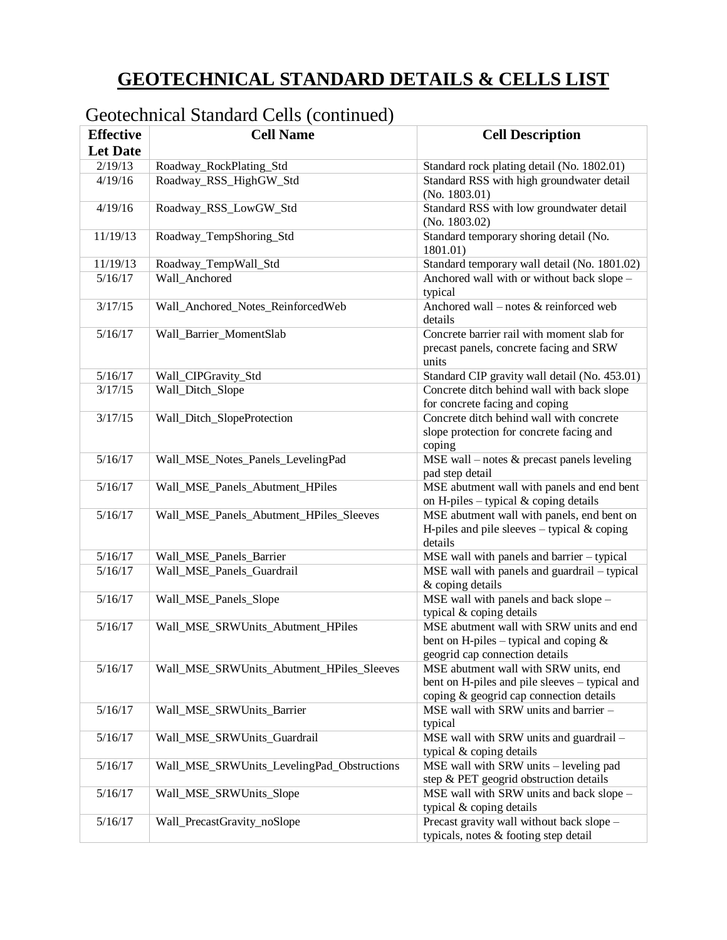# **GEOTECHNICAL STANDARD DETAILS & CELLS LIST**

| <b>Effective</b> | <b>Cell Name</b>                           | <b>Cell Description</b>                                                                                                            |
|------------------|--------------------------------------------|------------------------------------------------------------------------------------------------------------------------------------|
| <b>Let Date</b>  |                                            |                                                                                                                                    |
| 2/19/13          | Roadway_RockPlating_Std                    | Standard rock plating detail (No. 1802.01)                                                                                         |
| 4/19/16          | Roadway_RSS_HighGW_Std                     | Standard RSS with high groundwater detail<br>(No. 1803.01)                                                                         |
| 4/19/16          | Roadway_RSS_LowGW_Std                      | Standard RSS with low groundwater detail<br>(No. 1803.02)                                                                          |
| 11/19/13         | Roadway_TempShoring_Std                    | Standard temporary shoring detail (No.<br>1801.01)                                                                                 |
| 11/19/13         | Roadway_TempWall_Std                       | Standard temporary wall detail (No. 1801.02)                                                                                       |
| 5/16/17          | Wall_Anchored                              | Anchored wall with or without back slope -<br>typical                                                                              |
| 3/17/15          | Wall_Anchored_Notes_ReinforcedWeb          | Anchored wall – notes $&$ reinforced web<br>details                                                                                |
| 5/16/17          | Wall_Barrier_MomentSlab                    | Concrete barrier rail with moment slab for<br>precast panels, concrete facing and SRW<br>units                                     |
| 5/16/17          | Wall_CIPGravity_Std                        | Standard CIP gravity wall detail (No. 453.01)                                                                                      |
| 3/17/15          | Wall_Ditch_Slope                           | Concrete ditch behind wall with back slope<br>for concrete facing and coping                                                       |
| 3/17/15          | Wall_Ditch_SlopeProtection                 | Concrete ditch behind wall with concrete<br>slope protection for concrete facing and<br>coping                                     |
| 5/16/17          | Wall_MSE_Notes_Panels_LevelingPad          | MSE wall – notes $&$ precast panels leveling<br>pad step detail                                                                    |
| 5/16/17          | Wall_MSE_Panels_Abutment_HPiles            | MSE abutment wall with panels and end bent<br>on H-piles - typical & coping details                                                |
| 5/16/17          | Wall_MSE_Panels_Abutment_HPiles_Sleeves    | MSE abutment wall with panels, end bent on<br>H-piles and pile sleeves $-$ typical & coping<br>details                             |
| 5/16/17          | Wall_MSE_Panels_Barrier                    | MSE wall with panels and barrier - typical                                                                                         |
| 5/16/17          | Wall_MSE_Panels_Guardrail                  | MSE wall with panels and guardrail - typical<br>& coping details                                                                   |
| 5/16/17          | Wall_MSE_Panels_Slope                      | MSE wall with panels and back slope -<br>typical & coping details                                                                  |
| 5/16/17          | Wall_MSE_SRWUnits_Abutment_HPiles          | MSE abutment wall with SRW units and end<br>bent on H-piles – typical and coping $&$<br>geogrid cap connection details             |
| 5/16/17          | Wall_MSE_SRWUnits_Abutment_HPiles_Sleeves  | MSE abutment wall with SRW units, end<br>bent on H-piles and pile sleeves – typical and<br>coping & geogrid cap connection details |
| 5/16/17          | Wall_MSE_SRWUnits_Barrier                  | MSE wall with SRW units and barrier -<br>typical                                                                                   |
| 5/16/17          | Wall_MSE_SRWUnits_Guardrail                | MSE wall with SRW units and guardrail -<br>typical & coping details                                                                |
| 5/16/17          | Wall_MSE_SRWUnits_LevelingPad_Obstructions | MSE wall with SRW units - leveling pad<br>step & PET geogrid obstruction details                                                   |
| 5/16/17          | Wall_MSE_SRWUnits_Slope                    | MSE wall with SRW units and back slope -<br>typical & coping details                                                               |
| 5/16/17          | Wall_PrecastGravity_noSlope                | Precast gravity wall without back slope -<br>typicals, notes & footing step detail                                                 |

## Geotechnical Standard Cells (continued)